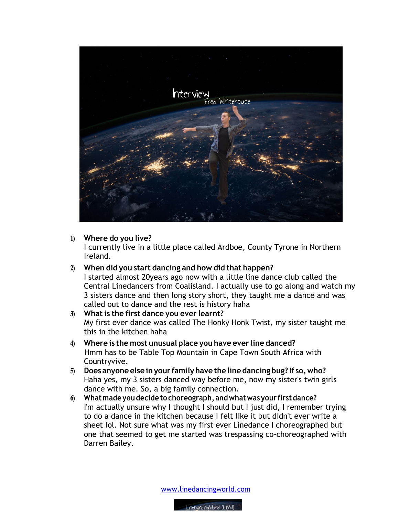

**1) Where do you live?**

I currently live in a little place called Ardboe, County Tyrone in Northern Ireland.

**2) When did you start dancing and how did that happen?**

I started almost 20years ago now with a little line dance club called the Central Linedancers from Coalisland. I actually use to go along and watch my 3 sisters dance and then long story short, they taught me a dance and was called out to dance and the rest is history haha

- **3) What is the first dance you ever learnt?** My first ever dance was called The Honky Honk Twist, my sister taught me this in the kitchen haha
- **4) Where is the most unusual place you have ever line danced?** Hmm has to be Table Top Mountain in Cape Town South Africa with Countryvive.
- **5) Does anyone else inyour familyhave the line dancing bug? If so,who?** Haha yes, my 3 sisters danced way before me, now my sister's twin girls dance with me. So, a big family connection.
- **6) Whatmade you decide to choreograph, andwhatwas your firstdance?**  I'm actually unsure why I thought I should but I just did, I remember trying to do a dance in the kitchen because I felt like it but didn't ever write a sheet lol. Not sure what was my first ever Linedance I choreographed but one that seemed to get me started was trespassing co-choreographed with Darren Bailey.

www.linedancingworld.com

LineDancingWorld (LDW)